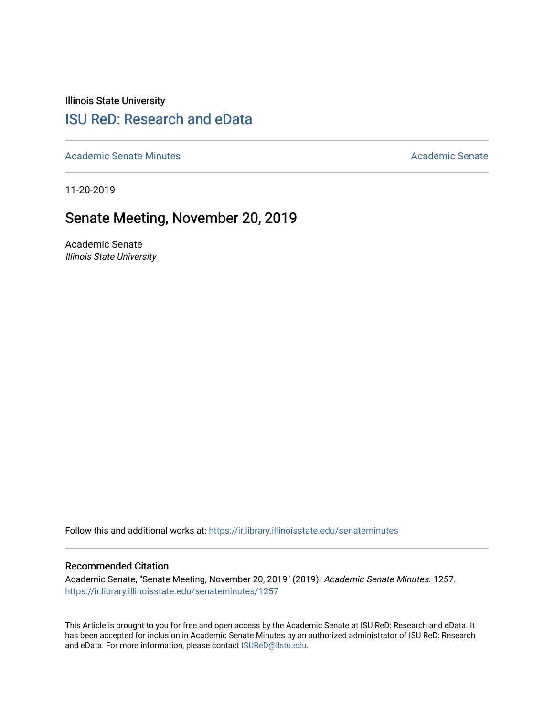Illinois State University

# [ISU ReD: Research and eData](https://ir.library.illinoisstate.edu/)

[Academic Senate Minutes](https://ir.library.illinoisstate.edu/senateminutes) [Academic Senate](https://ir.library.illinoisstate.edu/senate) Academic Senate

11-20-2019

# Senate Meeting, November 20, 2019

Academic Senate Illinois State University

Follow this and additional works at: [https://ir.library.illinoisstate.edu/senateminutes](https://ir.library.illinoisstate.edu/senateminutes?utm_source=ir.library.illinoisstate.edu%2Fsenateminutes%2F1257&utm_medium=PDF&utm_campaign=PDFCoverPages) 

#### Recommended Citation

Academic Senate, "Senate Meeting, November 20, 2019" (2019). Academic Senate Minutes. 1257. [https://ir.library.illinoisstate.edu/senateminutes/1257](https://ir.library.illinoisstate.edu/senateminutes/1257?utm_source=ir.library.illinoisstate.edu%2Fsenateminutes%2F1257&utm_medium=PDF&utm_campaign=PDFCoverPages)

This Article is brought to you for free and open access by the Academic Senate at ISU ReD: Research and eData. It has been accepted for inclusion in Academic Senate Minutes by an authorized administrator of ISU ReD: Research and eData. For more information, please contact [ISUReD@ilstu.edu.](mailto:ISUReD@ilstu.edu)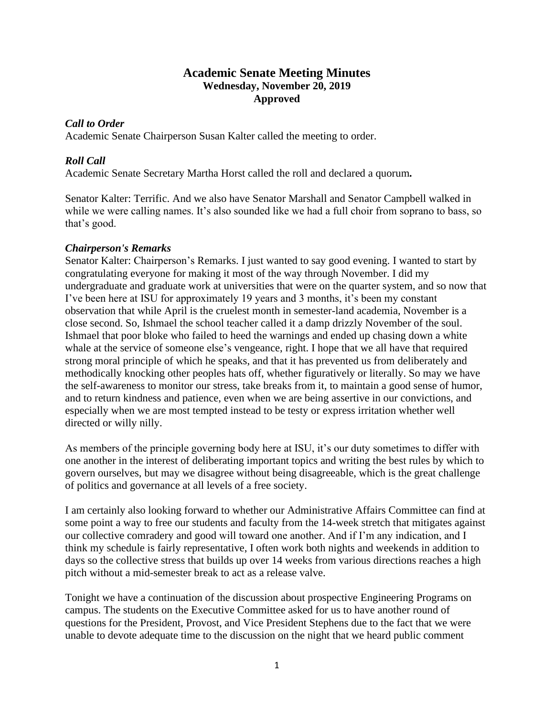# **Academic Senate Meeting Minutes Wednesday, November 20, 2019 Approved**

# *Call to Order*

Academic Senate Chairperson Susan Kalter called the meeting to order.

# *Roll Call*

Academic Senate Secretary Martha Horst called the roll and declared a quorum*.*

Senator Kalter: Terrific. And we also have Senator Marshall and Senator Campbell walked in while we were calling names. It's also sounded like we had a full choir from soprano to bass, so that's good.

# *Chairperson's Remarks*

Senator Kalter: Chairperson's Remarks. I just wanted to say good evening. I wanted to start by congratulating everyone for making it most of the way through November. I did my undergraduate and graduate work at universities that were on the quarter system, and so now that I've been here at ISU for approximately 19 years and 3 months, it's been my constant observation that while April is the cruelest month in semester-land academia, November is a close second. So, Ishmael the school teacher called it a damp drizzly November of the soul. Ishmael that poor bloke who failed to heed the warnings and ended up chasing down a white whale at the service of someone else's vengeance, right. I hope that we all have that required strong moral principle of which he speaks, and that it has prevented us from deliberately and methodically knocking other peoples hats off, whether figuratively or literally. So may we have the self-awareness to monitor our stress, take breaks from it, to maintain a good sense of humor, and to return kindness and patience, even when we are being assertive in our convictions, and especially when we are most tempted instead to be testy or express irritation whether well directed or willy nilly.

As members of the principle governing body here at ISU, it's our duty sometimes to differ with one another in the interest of deliberating important topics and writing the best rules by which to govern ourselves, but may we disagree without being disagreeable, which is the great challenge of politics and governance at all levels of a free society.

I am certainly also looking forward to whether our Administrative Affairs Committee can find at some point a way to free our students and faculty from the 14-week stretch that mitigates against our collective comradery and good will toward one another. And if I'm any indication, and I think my schedule is fairly representative, I often work both nights and weekends in addition to days so the collective stress that builds up over 14 weeks from various directions reaches a high pitch without a mid-semester break to act as a release valve.

Tonight we have a continuation of the discussion about prospective Engineering Programs on campus. The students on the Executive Committee asked for us to have another round of questions for the President, Provost, and Vice President Stephens due to the fact that we were unable to devote adequate time to the discussion on the night that we heard public comment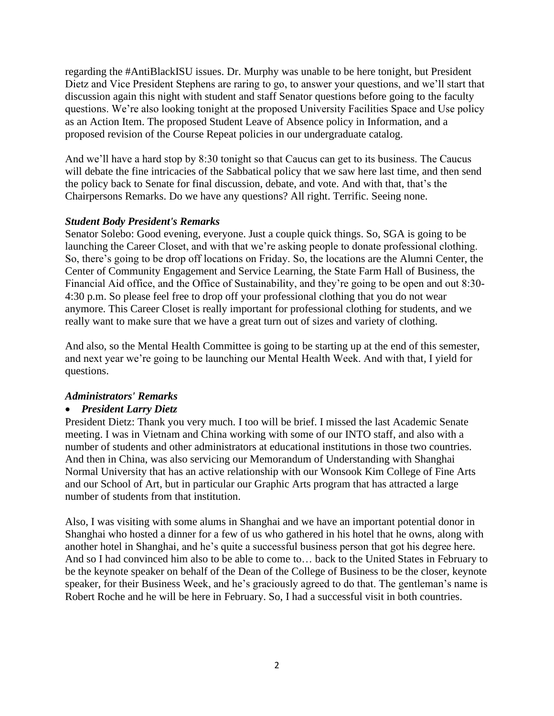regarding the #AntiBlackISU issues. Dr. Murphy was unable to be here tonight, but President Dietz and Vice President Stephens are raring to go, to answer your questions, and we'll start that discussion again this night with student and staff Senator questions before going to the faculty questions. We're also looking tonight at the proposed University Facilities Space and Use policy as an Action Item. The proposed Student Leave of Absence policy in Information, and a proposed revision of the Course Repeat policies in our undergraduate catalog.

And we'll have a hard stop by 8:30 tonight so that Caucus can get to its business. The Caucus will debate the fine intricacies of the Sabbatical policy that we saw here last time, and then send the policy back to Senate for final discussion, debate, and vote. And with that, that's the Chairpersons Remarks. Do we have any questions? All right. Terrific. Seeing none.

# *Student Body President's Remarks*

Senator Solebo: Good evening, everyone. Just a couple quick things. So, SGA is going to be launching the Career Closet, and with that we're asking people to donate professional clothing. So, there's going to be drop off locations on Friday. So, the locations are the Alumni Center, the Center of Community Engagement and Service Learning, the State Farm Hall of Business, the Financial Aid office, and the Office of Sustainability, and they're going to be open and out 8:30- 4:30 p.m. So please feel free to drop off your professional clothing that you do not wear anymore. This Career Closet is really important for professional clothing for students, and we really want to make sure that we have a great turn out of sizes and variety of clothing.

And also, so the Mental Health Committee is going to be starting up at the end of this semester, and next year we're going to be launching our Mental Health Week. And with that, I yield for questions.

## *Administrators' Remarks*

## • *President Larry Dietz*

President Dietz: Thank you very much. I too will be brief. I missed the last Academic Senate meeting. I was in Vietnam and China working with some of our INTO staff, and also with a number of students and other administrators at educational institutions in those two countries. And then in China, was also servicing our Memorandum of Understanding with Shanghai Normal University that has an active relationship with our Wonsook Kim College of Fine Arts and our School of Art, but in particular our Graphic Arts program that has attracted a large number of students from that institution.

Also, I was visiting with some alums in Shanghai and we have an important potential donor in Shanghai who hosted a dinner for a few of us who gathered in his hotel that he owns, along with another hotel in Shanghai, and he's quite a successful business person that got his degree here. And so I had convinced him also to be able to come to… back to the United States in February to be the keynote speaker on behalf of the Dean of the College of Business to be the closer, keynote speaker, for their Business Week, and he's graciously agreed to do that. The gentleman's name is Robert Roche and he will be here in February. So, I had a successful visit in both countries.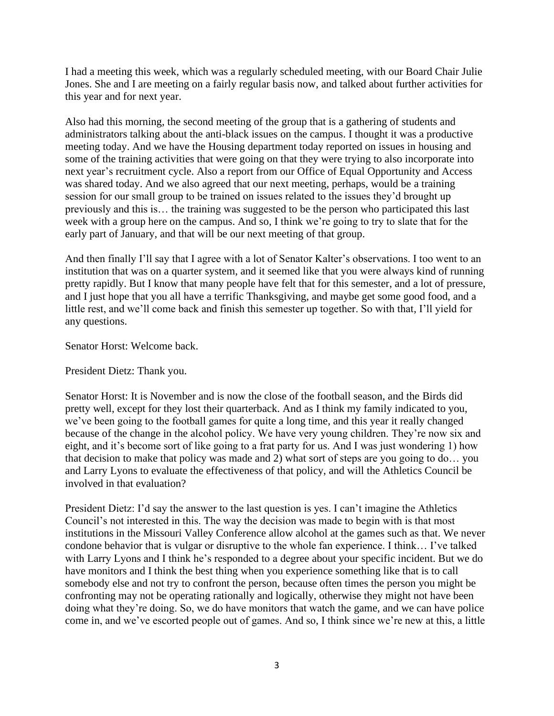I had a meeting this week, which was a regularly scheduled meeting, with our Board Chair Julie Jones. She and I are meeting on a fairly regular basis now, and talked about further activities for this year and for next year.

Also had this morning, the second meeting of the group that is a gathering of students and administrators talking about the anti-black issues on the campus. I thought it was a productive meeting today. And we have the Housing department today reported on issues in housing and some of the training activities that were going on that they were trying to also incorporate into next year's recruitment cycle. Also a report from our Office of Equal Opportunity and Access was shared today. And we also agreed that our next meeting, perhaps, would be a training session for our small group to be trained on issues related to the issues they'd brought up previously and this is… the training was suggested to be the person who participated this last week with a group here on the campus. And so, I think we're going to try to slate that for the early part of January, and that will be our next meeting of that group.

And then finally I'll say that I agree with a lot of Senator Kalter's observations. I too went to an institution that was on a quarter system, and it seemed like that you were always kind of running pretty rapidly. But I know that many people have felt that for this semester, and a lot of pressure, and I just hope that you all have a terrific Thanksgiving, and maybe get some good food, and a little rest, and we'll come back and finish this semester up together. So with that, I'll yield for any questions.

Senator Horst: Welcome back.

President Dietz: Thank you.

Senator Horst: It is November and is now the close of the football season, and the Birds did pretty well, except for they lost their quarterback. And as I think my family indicated to you, we've been going to the football games for quite a long time, and this year it really changed because of the change in the alcohol policy. We have very young children. They're now six and eight, and it's become sort of like going to a frat party for us. And I was just wondering 1) how that decision to make that policy was made and 2) what sort of steps are you going to do… you and Larry Lyons to evaluate the effectiveness of that policy, and will the Athletics Council be involved in that evaluation?

President Dietz: I'd say the answer to the last question is yes. I can't imagine the Athletics Council's not interested in this. The way the decision was made to begin with is that most institutions in the Missouri Valley Conference allow alcohol at the games such as that. We never condone behavior that is vulgar or disruptive to the whole fan experience. I think… I've talked with Larry Lyons and I think he's responded to a degree about your specific incident. But we do have monitors and I think the best thing when you experience something like that is to call somebody else and not try to confront the person, because often times the person you might be confronting may not be operating rationally and logically, otherwise they might not have been doing what they're doing. So, we do have monitors that watch the game, and we can have police come in, and we've escorted people out of games. And so, I think since we're new at this, a little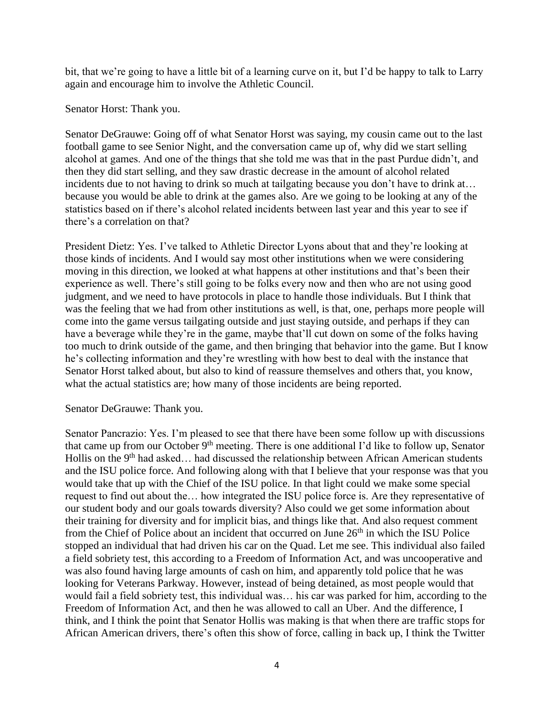bit, that we're going to have a little bit of a learning curve on it, but I'd be happy to talk to Larry again and encourage him to involve the Athletic Council.

Senator Horst: Thank you.

Senator DeGrauwe: Going off of what Senator Horst was saying, my cousin came out to the last football game to see Senior Night, and the conversation came up of, why did we start selling alcohol at games. And one of the things that she told me was that in the past Purdue didn't, and then they did start selling, and they saw drastic decrease in the amount of alcohol related incidents due to not having to drink so much at tailgating because you don't have to drink at... because you would be able to drink at the games also. Are we going to be looking at any of the statistics based on if there's alcohol related incidents between last year and this year to see if there's a correlation on that?

President Dietz: Yes. I've talked to Athletic Director Lyons about that and they're looking at those kinds of incidents. And I would say most other institutions when we were considering moving in this direction, we looked at what happens at other institutions and that's been their experience as well. There's still going to be folks every now and then who are not using good judgment, and we need to have protocols in place to handle those individuals. But I think that was the feeling that we had from other institutions as well, is that, one, perhaps more people will come into the game versus tailgating outside and just staying outside, and perhaps if they can have a beverage while they're in the game, maybe that'll cut down on some of the folks having too much to drink outside of the game, and then bringing that behavior into the game. But I know he's collecting information and they're wrestling with how best to deal with the instance that Senator Horst talked about, but also to kind of reassure themselves and others that, you know, what the actual statistics are; how many of those incidents are being reported.

## Senator DeGrauwe: Thank you.

Senator Pancrazio: Yes. I'm pleased to see that there have been some follow up with discussions that came up from our October  $9<sup>th</sup>$  meeting. There is one additional I'd like to follow up, Senator Hollis on the 9<sup>th</sup> had asked... had discussed the relationship between African American students and the ISU police force. And following along with that I believe that your response was that you would take that up with the Chief of the ISU police. In that light could we make some special request to find out about the… how integrated the ISU police force is. Are they representative of our student body and our goals towards diversity? Also could we get some information about their training for diversity and for implicit bias, and things like that. And also request comment from the Chief of Police about an incident that occurred on June  $26<sup>th</sup>$  in which the ISU Police stopped an individual that had driven his car on the Quad. Let me see. This individual also failed a field sobriety test, this according to a Freedom of Information Act, and was uncooperative and was also found having large amounts of cash on him, and apparently told police that he was looking for Veterans Parkway. However, instead of being detained, as most people would that would fail a field sobriety test, this individual was… his car was parked for him, according to the Freedom of Information Act, and then he was allowed to call an Uber. And the difference, I think, and I think the point that Senator Hollis was making is that when there are traffic stops for African American drivers, there's often this show of force, calling in back up, I think the Twitter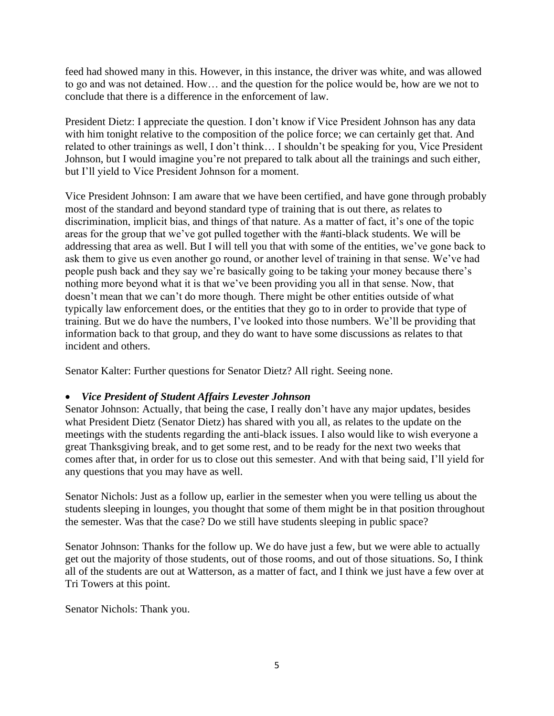feed had showed many in this. However, in this instance, the driver was white, and was allowed to go and was not detained. How… and the question for the police would be, how are we not to conclude that there is a difference in the enforcement of law.

President Dietz: I appreciate the question. I don't know if Vice President Johnson has any data with him tonight relative to the composition of the police force; we can certainly get that. And related to other trainings as well, I don't think… I shouldn't be speaking for you, Vice President Johnson, but I would imagine you're not prepared to talk about all the trainings and such either, but I'll yield to Vice President Johnson for a moment.

Vice President Johnson: I am aware that we have been certified, and have gone through probably most of the standard and beyond standard type of training that is out there, as relates to discrimination, implicit bias, and things of that nature. As a matter of fact, it's one of the topic areas for the group that we've got pulled together with the #anti-black students. We will be addressing that area as well. But I will tell you that with some of the entities, we've gone back to ask them to give us even another go round, or another level of training in that sense. We've had people push back and they say we're basically going to be taking your money because there's nothing more beyond what it is that we've been providing you all in that sense. Now, that doesn't mean that we can't do more though. There might be other entities outside of what typically law enforcement does, or the entities that they go to in order to provide that type of training. But we do have the numbers, I've looked into those numbers. We'll be providing that information back to that group, and they do want to have some discussions as relates to that incident and others.

Senator Kalter: Further questions for Senator Dietz? All right. Seeing none.

# • *Vice President of Student Affairs Levester Johnson*

Senator Johnson: Actually, that being the case, I really don't have any major updates, besides what President Dietz (Senator Dietz) has shared with you all, as relates to the update on the meetings with the students regarding the anti-black issues. I also would like to wish everyone a great Thanksgiving break, and to get some rest, and to be ready for the next two weeks that comes after that, in order for us to close out this semester. And with that being said, I'll yield for any questions that you may have as well.

Senator Nichols: Just as a follow up, earlier in the semester when you were telling us about the students sleeping in lounges, you thought that some of them might be in that position throughout the semester. Was that the case? Do we still have students sleeping in public space?

Senator Johnson: Thanks for the follow up. We do have just a few, but we were able to actually get out the majority of those students, out of those rooms, and out of those situations. So, I think all of the students are out at Watterson, as a matter of fact, and I think we just have a few over at Tri Towers at this point.

Senator Nichols: Thank you.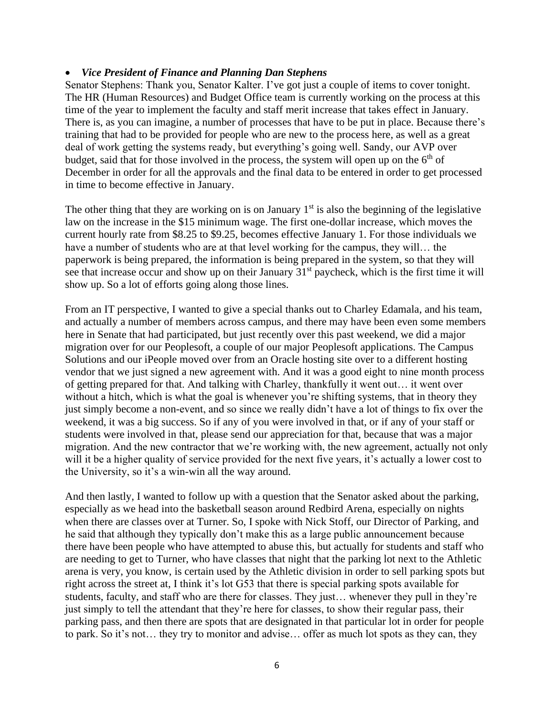### • *Vice President of Finance and Planning Dan Stephens*

Senator Stephens: Thank you, Senator Kalter. I've got just a couple of items to cover tonight. The HR (Human Resources) and Budget Office team is currently working on the process at this time of the year to implement the faculty and staff merit increase that takes effect in January. There is, as you can imagine, a number of processes that have to be put in place. Because there's training that had to be provided for people who are new to the process here, as well as a great deal of work getting the systems ready, but everything's going well. Sandy, our AVP over budget, said that for those involved in the process, the system will open up on the  $6<sup>th</sup>$  of December in order for all the approvals and the final data to be entered in order to get processed in time to become effective in January.

The other thing that they are working on is on January  $1<sup>st</sup>$  is also the beginning of the legislative law on the increase in the \$15 minimum wage. The first one-dollar increase, which moves the current hourly rate from \$8.25 to \$9.25, becomes effective January 1. For those individuals we have a number of students who are at that level working for the campus, they will… the paperwork is being prepared, the information is being prepared in the system, so that they will see that increase occur and show up on their January 31<sup>st</sup> paycheck, which is the first time it will show up. So a lot of efforts going along those lines.

From an IT perspective, I wanted to give a special thanks out to Charley Edamala, and his team, and actually a number of members across campus, and there may have been even some members here in Senate that had participated, but just recently over this past weekend, we did a major migration over for our Peoplesoft, a couple of our major Peoplesoft applications. The Campus Solutions and our iPeople moved over from an Oracle hosting site over to a different hosting vendor that we just signed a new agreement with. And it was a good eight to nine month process of getting prepared for that. And talking with Charley, thankfully it went out… it went over without a hitch, which is what the goal is whenever you're shifting systems, that in theory they just simply become a non-event, and so since we really didn't have a lot of things to fix over the weekend, it was a big success. So if any of you were involved in that, or if any of your staff or students were involved in that, please send our appreciation for that, because that was a major migration. And the new contractor that we're working with, the new agreement, actually not only will it be a higher quality of service provided for the next five years, it's actually a lower cost to the University, so it's a win-win all the way around.

And then lastly, I wanted to follow up with a question that the Senator asked about the parking, especially as we head into the basketball season around Redbird Arena, especially on nights when there are classes over at Turner. So, I spoke with Nick Stoff, our Director of Parking, and he said that although they typically don't make this as a large public announcement because there have been people who have attempted to abuse this, but actually for students and staff who are needing to get to Turner, who have classes that night that the parking lot next to the Athletic arena is very, you know, is certain used by the Athletic division in order to sell parking spots but right across the street at, I think it's lot G53 that there is special parking spots available for students, faculty, and staff who are there for classes. They just… whenever they pull in they're just simply to tell the attendant that they're here for classes, to show their regular pass, their parking pass, and then there are spots that are designated in that particular lot in order for people to park. So it's not… they try to monitor and advise… offer as much lot spots as they can, they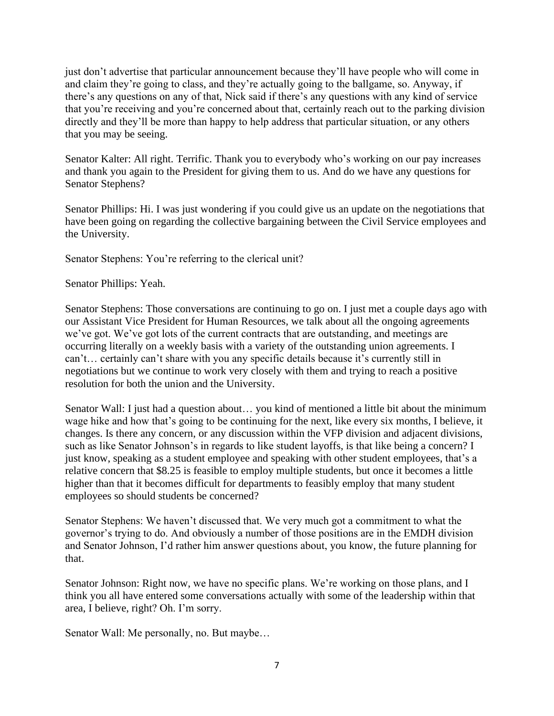just don't advertise that particular announcement because they'll have people who will come in and claim they're going to class, and they're actually going to the ballgame, so. Anyway, if there's any questions on any of that, Nick said if there's any questions with any kind of service that you're receiving and you're concerned about that, certainly reach out to the parking division directly and they'll be more than happy to help address that particular situation, or any others that you may be seeing.

Senator Kalter: All right. Terrific. Thank you to everybody who's working on our pay increases and thank you again to the President for giving them to us. And do we have any questions for Senator Stephens?

Senator Phillips: Hi. I was just wondering if you could give us an update on the negotiations that have been going on regarding the collective bargaining between the Civil Service employees and the University.

Senator Stephens: You're referring to the clerical unit?

Senator Phillips: Yeah.

Senator Stephens: Those conversations are continuing to go on. I just met a couple days ago with our Assistant Vice President for Human Resources, we talk about all the ongoing agreements we've got. We've got lots of the current contracts that are outstanding, and meetings are occurring literally on a weekly basis with a variety of the outstanding union agreements. I can't… certainly can't share with you any specific details because it's currently still in negotiations but we continue to work very closely with them and trying to reach a positive resolution for both the union and the University.

Senator Wall: I just had a question about… you kind of mentioned a little bit about the minimum wage hike and how that's going to be continuing for the next, like every six months, I believe, it changes. Is there any concern, or any discussion within the VFP division and adjacent divisions, such as like Senator Johnson's in regards to like student layoffs, is that like being a concern? I just know, speaking as a student employee and speaking with other student employees, that's a relative concern that \$8.25 is feasible to employ multiple students, but once it becomes a little higher than that it becomes difficult for departments to feasibly employ that many student employees so should students be concerned?

Senator Stephens: We haven't discussed that. We very much got a commitment to what the governor's trying to do. And obviously a number of those positions are in the EMDH division and Senator Johnson, I'd rather him answer questions about, you know, the future planning for that.

Senator Johnson: Right now, we have no specific plans. We're working on those plans, and I think you all have entered some conversations actually with some of the leadership within that area, I believe, right? Oh. I'm sorry.

Senator Wall: Me personally, no. But maybe…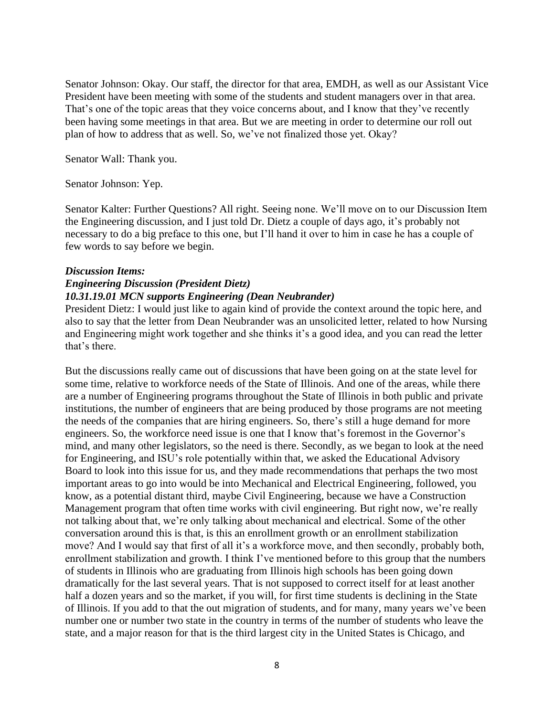Senator Johnson: Okay. Our staff, the director for that area, EMDH, as well as our Assistant Vice President have been meeting with some of the students and student managers over in that area. That's one of the topic areas that they voice concerns about, and I know that they've recently been having some meetings in that area. But we are meeting in order to determine our roll out plan of how to address that as well. So, we've not finalized those yet. Okay?

Senator Wall: Thank you.

Senator Johnson: Yep.

Senator Kalter: Further Questions? All right. Seeing none. We'll move on to our Discussion Item the Engineering discussion, and I just told Dr. Dietz a couple of days ago, it's probably not necessary to do a big preface to this one, but I'll hand it over to him in case he has a couple of few words to say before we begin.

#### *Discussion Items:*

# *Engineering Discussion (President Dietz) 10.31.19.01 MCN supports Engineering (Dean Neubrander)*

President Dietz: I would just like to again kind of provide the context around the topic here, and also to say that the letter from Dean Neubrander was an unsolicited letter, related to how Nursing and Engineering might work together and she thinks it's a good idea, and you can read the letter that's there.

But the discussions really came out of discussions that have been going on at the state level for some time, relative to workforce needs of the State of Illinois. And one of the areas, while there are a number of Engineering programs throughout the State of Illinois in both public and private institutions, the number of engineers that are being produced by those programs are not meeting the needs of the companies that are hiring engineers. So, there's still a huge demand for more engineers. So, the workforce need issue is one that I know that's foremost in the Governor's mind, and many other legislators, so the need is there. Secondly, as we began to look at the need for Engineering, and ISU's role potentially within that, we asked the Educational Advisory Board to look into this issue for us, and they made recommendations that perhaps the two most important areas to go into would be into Mechanical and Electrical Engineering, followed, you know, as a potential distant third, maybe Civil Engineering, because we have a Construction Management program that often time works with civil engineering. But right now, we're really not talking about that, we're only talking about mechanical and electrical. Some of the other conversation around this is that, is this an enrollment growth or an enrollment stabilization move? And I would say that first of all it's a workforce move, and then secondly, probably both, enrollment stabilization and growth. I think I've mentioned before to this group that the numbers of students in Illinois who are graduating from Illinois high schools has been going down dramatically for the last several years. That is not supposed to correct itself for at least another half a dozen years and so the market, if you will, for first time students is declining in the State of Illinois. If you add to that the out migration of students, and for many, many years we've been number one or number two state in the country in terms of the number of students who leave the state, and a major reason for that is the third largest city in the United States is Chicago, and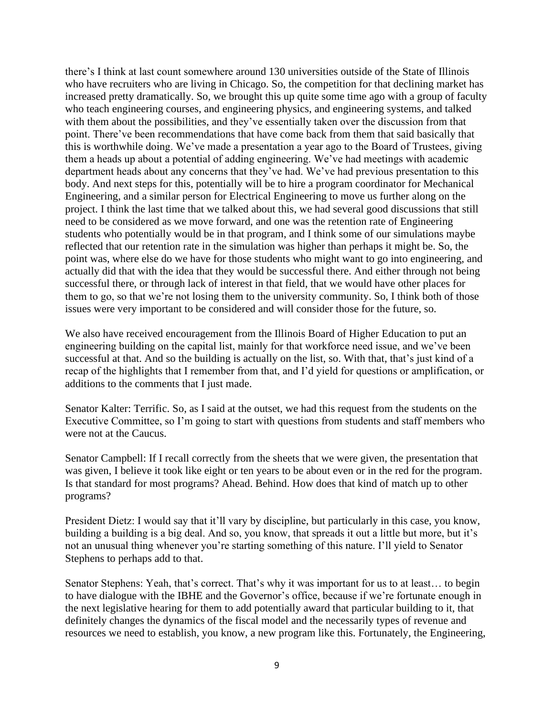there's I think at last count somewhere around 130 universities outside of the State of Illinois who have recruiters who are living in Chicago. So, the competition for that declining market has increased pretty dramatically. So, we brought this up quite some time ago with a group of faculty who teach engineering courses, and engineering physics, and engineering systems, and talked with them about the possibilities, and they've essentially taken over the discussion from that point. There've been recommendations that have come back from them that said basically that this is worthwhile doing. We've made a presentation a year ago to the Board of Trustees, giving them a heads up about a potential of adding engineering. We've had meetings with academic department heads about any concerns that they've had. We've had previous presentation to this body. And next steps for this, potentially will be to hire a program coordinator for Mechanical Engineering, and a similar person for Electrical Engineering to move us further along on the project. I think the last time that we talked about this, we had several good discussions that still need to be considered as we move forward, and one was the retention rate of Engineering students who potentially would be in that program, and I think some of our simulations maybe reflected that our retention rate in the simulation was higher than perhaps it might be. So, the point was, where else do we have for those students who might want to go into engineering, and actually did that with the idea that they would be successful there. And either through not being successful there, or through lack of interest in that field, that we would have other places for them to go, so that we're not losing them to the university community. So, I think both of those issues were very important to be considered and will consider those for the future, so.

We also have received encouragement from the Illinois Board of Higher Education to put an engineering building on the capital list, mainly for that workforce need issue, and we've been successful at that. And so the building is actually on the list, so. With that, that's just kind of a recap of the highlights that I remember from that, and I'd yield for questions or amplification, or additions to the comments that I just made.

Senator Kalter: Terrific. So, as I said at the outset, we had this request from the students on the Executive Committee, so I'm going to start with questions from students and staff members who were not at the Caucus.

Senator Campbell: If I recall correctly from the sheets that we were given, the presentation that was given, I believe it took like eight or ten years to be about even or in the red for the program. Is that standard for most programs? Ahead. Behind. How does that kind of match up to other programs?

President Dietz: I would say that it'll vary by discipline, but particularly in this case, you know, building a building is a big deal. And so, you know, that spreads it out a little but more, but it's not an unusual thing whenever you're starting something of this nature. I'll yield to Senator Stephens to perhaps add to that.

Senator Stephens: Yeah, that's correct. That's why it was important for us to at least… to begin to have dialogue with the IBHE and the Governor's office, because if we're fortunate enough in the next legislative hearing for them to add potentially award that particular building to it, that definitely changes the dynamics of the fiscal model and the necessarily types of revenue and resources we need to establish, you know, a new program like this. Fortunately, the Engineering,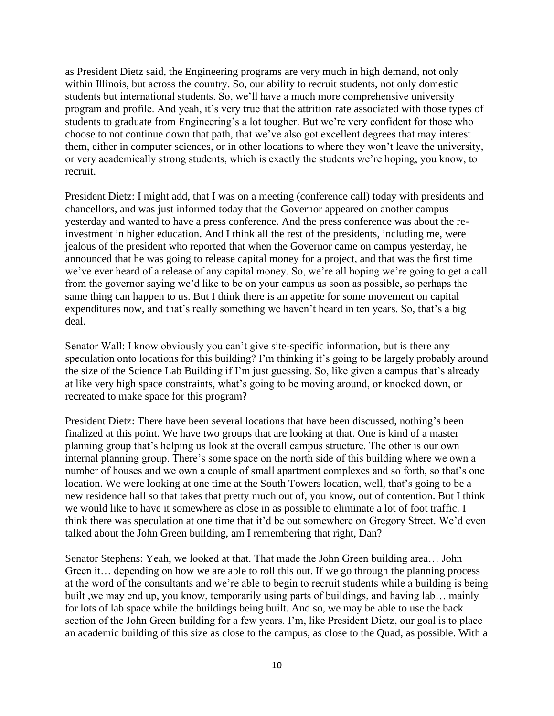as President Dietz said, the Engineering programs are very much in high demand, not only within Illinois, but across the country. So, our ability to recruit students, not only domestic students but international students. So, we'll have a much more comprehensive university program and profile. And yeah, it's very true that the attrition rate associated with those types of students to graduate from Engineering's a lot tougher. But we're very confident for those who choose to not continue down that path, that we've also got excellent degrees that may interest them, either in computer sciences, or in other locations to where they won't leave the university, or very academically strong students, which is exactly the students we're hoping, you know, to recruit.

President Dietz: I might add, that I was on a meeting (conference call) today with presidents and chancellors, and was just informed today that the Governor appeared on another campus yesterday and wanted to have a press conference. And the press conference was about the reinvestment in higher education. And I think all the rest of the presidents, including me, were jealous of the president who reported that when the Governor came on campus yesterday, he announced that he was going to release capital money for a project, and that was the first time we've ever heard of a release of any capital money. So, we're all hoping we're going to get a call from the governor saying we'd like to be on your campus as soon as possible, so perhaps the same thing can happen to us. But I think there is an appetite for some movement on capital expenditures now, and that's really something we haven't heard in ten years. So, that's a big deal.

Senator Wall: I know obviously you can't give site-specific information, but is there any speculation onto locations for this building? I'm thinking it's going to be largely probably around the size of the Science Lab Building if I'm just guessing. So, like given a campus that's already at like very high space constraints, what's going to be moving around, or knocked down, or recreated to make space for this program?

President Dietz: There have been several locations that have been discussed, nothing's been finalized at this point. We have two groups that are looking at that. One is kind of a master planning group that's helping us look at the overall campus structure. The other is our own internal planning group. There's some space on the north side of this building where we own a number of houses and we own a couple of small apartment complexes and so forth, so that's one location. We were looking at one time at the South Towers location, well, that's going to be a new residence hall so that takes that pretty much out of, you know, out of contention. But I think we would like to have it somewhere as close in as possible to eliminate a lot of foot traffic. I think there was speculation at one time that it'd be out somewhere on Gregory Street. We'd even talked about the John Green building, am I remembering that right, Dan?

Senator Stephens: Yeah, we looked at that. That made the John Green building area… John Green it… depending on how we are able to roll this out. If we go through the planning process at the word of the consultants and we're able to begin to recruit students while a building is being built ,we may end up, you know, temporarily using parts of buildings, and having lab… mainly for lots of lab space while the buildings being built. And so, we may be able to use the back section of the John Green building for a few years. I'm, like President Dietz, our goal is to place an academic building of this size as close to the campus, as close to the Quad, as possible. With a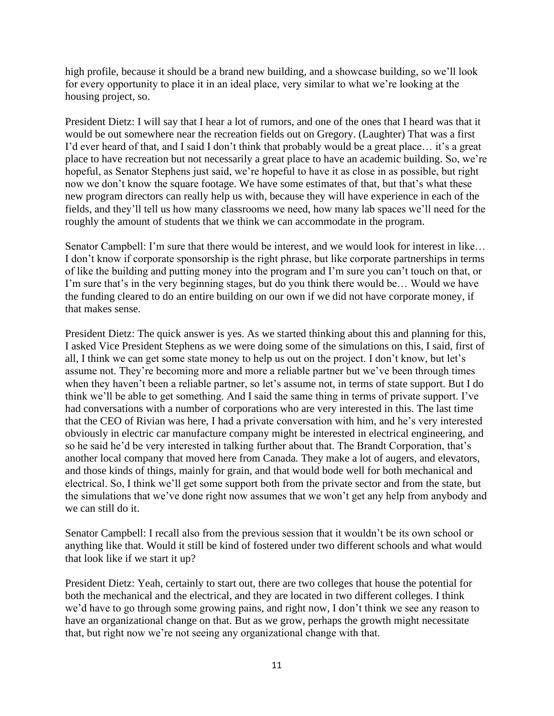high profile, because it should be a brand new building, and a showcase building, so we'll look for every opportunity to place it in an ideal place, very similar to what we're looking at the housing project, so.

President Dietz: I will say that I hear a lot of rumors, and one of the ones that I heard was that it would be out somewhere near the recreation fields out on Gregory. (Laughter) That was a first I'd ever heard of that, and I said I don't think that probably would be a great place… it's a great place to have recreation but not necessarily a great place to have an academic building. So, we're hopeful, as Senator Stephens just said, we're hopeful to have it as close in as possible, but right now we don't know the square footage. We have some estimates of that, but that's what these new program directors can really help us with, because they will have experience in each of the fields, and they'll tell us how many classrooms we need, how many lab spaces we'll need for the roughly the amount of students that we think we can accommodate in the program.

Senator Campbell: I'm sure that there would be interest, and we would look for interest in like… I don't know if corporate sponsorship is the right phrase, but like corporate partnerships in terms of like the building and putting money into the program and I'm sure you can't touch on that, or I'm sure that's in the very beginning stages, but do you think there would be… Would we have the funding cleared to do an entire building on our own if we did not have corporate money, if that makes sense.

President Dietz: The quick answer is yes. As we started thinking about this and planning for this, I asked Vice President Stephens as we were doing some of the simulations on this, I said, first of all, I think we can get some state money to help us out on the project. I don't know, but let's assume not. They're becoming more and more a reliable partner but we've been through times when they haven't been a reliable partner, so let's assume not, in terms of state support. But I do think we'll be able to get something. And I said the same thing in terms of private support. I've had conversations with a number of corporations who are very interested in this. The last time that the CEO of Rivian was here, I had a private conversation with him, and he's very interested obviously in electric car manufacture company might be interested in electrical engineering, and so he said he'd be very interested in talking further about that. The Brandt Corporation, that's another local company that moved here from Canada. They make a lot of augers, and elevators, and those kinds of things, mainly for grain, and that would bode well for both mechanical and electrical. So, I think we'll get some support both from the private sector and from the state, but the simulations that we've done right now assumes that we won't get any help from anybody and we can still do it.

Senator Campbell: I recall also from the previous session that it wouldn't be its own school or anything like that. Would it still be kind of fostered under two different schools and what would that look like if we start it up?

President Dietz: Yeah, certainly to start out, there are two colleges that house the potential for both the mechanical and the electrical, and they are located in two different colleges. I think we'd have to go through some growing pains, and right now, I don't think we see any reason to have an organizational change on that. But as we grow, perhaps the growth might necessitate that, but right now we're not seeing any organizational change with that.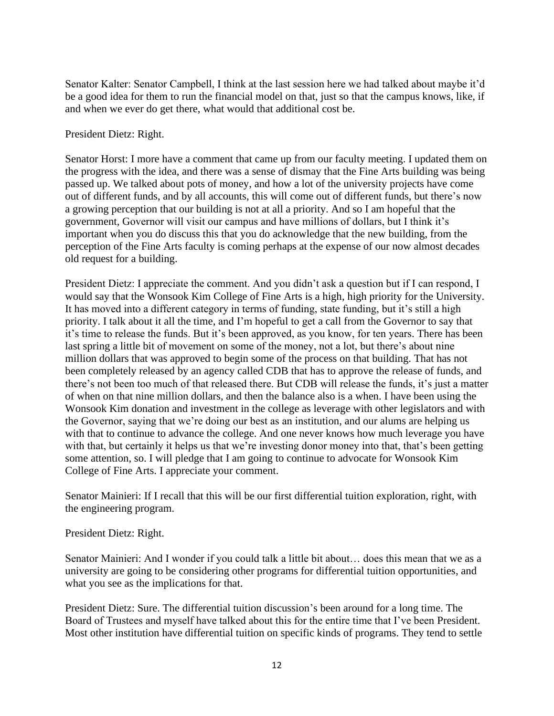Senator Kalter: Senator Campbell, I think at the last session here we had talked about maybe it'd be a good idea for them to run the financial model on that, just so that the campus knows, like, if and when we ever do get there, what would that additional cost be.

President Dietz: Right.

Senator Horst: I more have a comment that came up from our faculty meeting. I updated them on the progress with the idea, and there was a sense of dismay that the Fine Arts building was being passed up. We talked about pots of money, and how a lot of the university projects have come out of different funds, and by all accounts, this will come out of different funds, but there's now a growing perception that our building is not at all a priority. And so I am hopeful that the government, Governor will visit our campus and have millions of dollars, but I think it's important when you do discuss this that you do acknowledge that the new building, from the perception of the Fine Arts faculty is coming perhaps at the expense of our now almost decades old request for a building.

President Dietz: I appreciate the comment. And you didn't ask a question but if I can respond, I would say that the Wonsook Kim College of Fine Arts is a high, high priority for the University. It has moved into a different category in terms of funding, state funding, but it's still a high priority. I talk about it all the time, and I'm hopeful to get a call from the Governor to say that it's time to release the funds. But it's been approved, as you know, for ten years. There has been last spring a little bit of movement on some of the money, not a lot, but there's about nine million dollars that was approved to begin some of the process on that building. That has not been completely released by an agency called CDB that has to approve the release of funds, and there's not been too much of that released there. But CDB will release the funds, it's just a matter of when on that nine million dollars, and then the balance also is a when. I have been using the Wonsook Kim donation and investment in the college as leverage with other legislators and with the Governor, saying that we're doing our best as an institution, and our alums are helping us with that to continue to advance the college. And one never knows how much leverage you have with that, but certainly it helps us that we're investing donor money into that, that's been getting some attention, so. I will pledge that I am going to continue to advocate for Wonsook Kim College of Fine Arts. I appreciate your comment.

Senator Mainieri: If I recall that this will be our first differential tuition exploration, right, with the engineering program.

President Dietz: Right.

Senator Mainieri: And I wonder if you could talk a little bit about… does this mean that we as a university are going to be considering other programs for differential tuition opportunities, and what you see as the implications for that.

President Dietz: Sure. The differential tuition discussion's been around for a long time. The Board of Trustees and myself have talked about this for the entire time that I've been President. Most other institution have differential tuition on specific kinds of programs. They tend to settle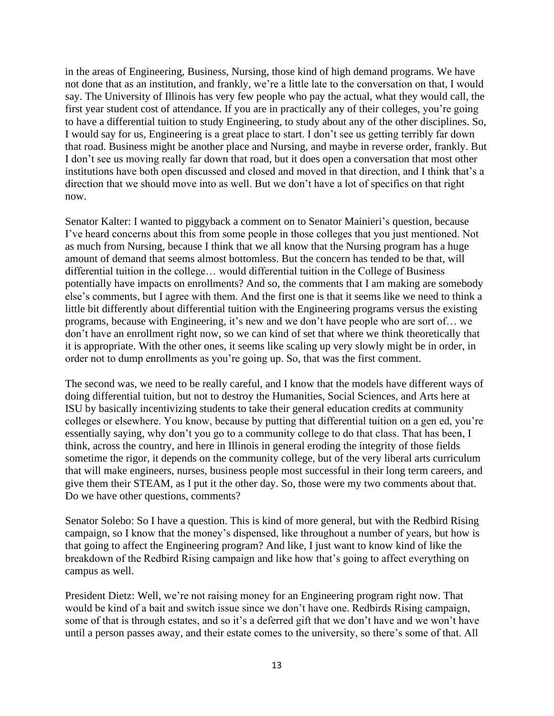in the areas of Engineering, Business, Nursing, those kind of high demand programs. We have not done that as an institution, and frankly, we're a little late to the conversation on that, I would say. The University of Illinois has very few people who pay the actual, what they would call, the first year student cost of attendance. If you are in practically any of their colleges, you're going to have a differential tuition to study Engineering, to study about any of the other disciplines. So, I would say for us, Engineering is a great place to start. I don't see us getting terribly far down that road. Business might be another place and Nursing, and maybe in reverse order, frankly. But I don't see us moving really far down that road, but it does open a conversation that most other institutions have both open discussed and closed and moved in that direction, and I think that's a direction that we should move into as well. But we don't have a lot of specifics on that right now.

Senator Kalter: I wanted to piggyback a comment on to Senator Mainieri's question, because I've heard concerns about this from some people in those colleges that you just mentioned. Not as much from Nursing, because I think that we all know that the Nursing program has a huge amount of demand that seems almost bottomless. But the concern has tended to be that, will differential tuition in the college… would differential tuition in the College of Business potentially have impacts on enrollments? And so, the comments that I am making are somebody else's comments, but I agree with them. And the first one is that it seems like we need to think a little bit differently about differential tuition with the Engineering programs versus the existing programs, because with Engineering, it's new and we don't have people who are sort of… we don't have an enrollment right now, so we can kind of set that where we think theoretically that it is appropriate. With the other ones, it seems like scaling up very slowly might be in order, in order not to dump enrollments as you're going up. So, that was the first comment.

The second was, we need to be really careful, and I know that the models have different ways of doing differential tuition, but not to destroy the Humanities, Social Sciences, and Arts here at ISU by basically incentivizing students to take their general education credits at community colleges or elsewhere. You know, because by putting that differential tuition on a gen ed, you're essentially saying, why don't you go to a community college to do that class. That has been, I think, across the country, and here in Illinois in general eroding the integrity of those fields sometime the rigor, it depends on the community college, but of the very liberal arts curriculum that will make engineers, nurses, business people most successful in their long term careers, and give them their STEAM, as I put it the other day. So, those were my two comments about that. Do we have other questions, comments?

Senator Solebo: So I have a question. This is kind of more general, but with the Redbird Rising campaign, so I know that the money's dispensed, like throughout a number of years, but how is that going to affect the Engineering program? And like, I just want to know kind of like the breakdown of the Redbird Rising campaign and like how that's going to affect everything on campus as well.

President Dietz: Well, we're not raising money for an Engineering program right now. That would be kind of a bait and switch issue since we don't have one. Redbirds Rising campaign, some of that is through estates, and so it's a deferred gift that we don't have and we won't have until a person passes away, and their estate comes to the university, so there's some of that. All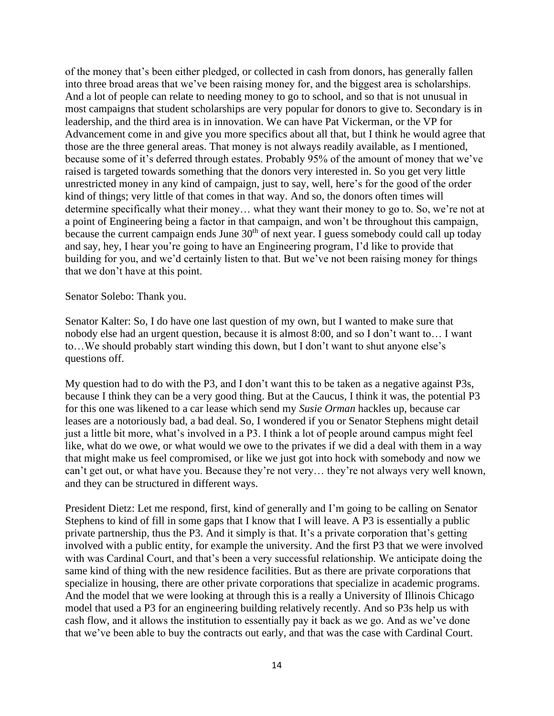of the money that's been either pledged, or collected in cash from donors, has generally fallen into three broad areas that we've been raising money for, and the biggest area is scholarships. And a lot of people can relate to needing money to go to school, and so that is not unusual in most campaigns that student scholarships are very popular for donors to give to. Secondary is in leadership, and the third area is in innovation. We can have Pat Vickerman, or the VP for Advancement come in and give you more specifics about all that, but I think he would agree that those are the three general areas. That money is not always readily available, as I mentioned, because some of it's deferred through estates. Probably 95% of the amount of money that we've raised is targeted towards something that the donors very interested in. So you get very little unrestricted money in any kind of campaign, just to say, well, here's for the good of the order kind of things; very little of that comes in that way. And so, the donors often times will determine specifically what their money… what they want their money to go to. So, we're not at a point of Engineering being a factor in that campaign, and won't be throughout this campaign, because the current campaign ends June 30<sup>th</sup> of next year. I guess somebody could call up today and say, hey, I hear you're going to have an Engineering program, I'd like to provide that building for you, and we'd certainly listen to that. But we've not been raising money for things that we don't have at this point.

#### Senator Solebo: Thank you.

Senator Kalter: So, I do have one last question of my own, but I wanted to make sure that nobody else had an urgent question, because it is almost 8:00, and so I don't want to… I want to…We should probably start winding this down, but I don't want to shut anyone else's questions off.

My question had to do with the P3, and I don't want this to be taken as a negative against P3s, because I think they can be a very good thing. But at the Caucus, I think it was, the potential P3 for this one was likened to a car lease which send my *Susie Orman* hackles up, because car leases are a notoriously bad, a bad deal. So, I wondered if you or Senator Stephens might detail just a little bit more, what's involved in a P3. I think a lot of people around campus might feel like, what do we owe, or what would we owe to the privates if we did a deal with them in a way that might make us feel compromised, or like we just got into hock with somebody and now we can't get out, or what have you. Because they're not very… they're not always very well known, and they can be structured in different ways.

President Dietz: Let me respond, first, kind of generally and I'm going to be calling on Senator Stephens to kind of fill in some gaps that I know that I will leave. A P3 is essentially a public private partnership, thus the P3. And it simply is that. It's a private corporation that's getting involved with a public entity, for example the university. And the first P3 that we were involved with was Cardinal Court, and that's been a very successful relationship. We anticipate doing the same kind of thing with the new residence facilities. But as there are private corporations that specialize in housing, there are other private corporations that specialize in academic programs. And the model that we were looking at through this is a really a University of Illinois Chicago model that used a P3 for an engineering building relatively recently. And so P3s help us with cash flow, and it allows the institution to essentially pay it back as we go. And as we've done that we've been able to buy the contracts out early, and that was the case with Cardinal Court.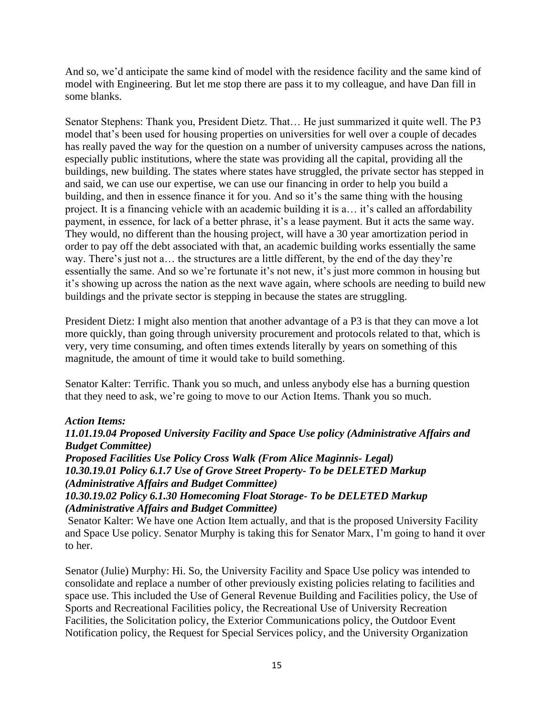And so, we'd anticipate the same kind of model with the residence facility and the same kind of model with Engineering. But let me stop there are pass it to my colleague, and have Dan fill in some blanks.

Senator Stephens: Thank you, President Dietz. That… He just summarized it quite well. The P3 model that's been used for housing properties on universities for well over a couple of decades has really paved the way for the question on a number of university campuses across the nations, especially public institutions, where the state was providing all the capital, providing all the buildings, new building. The states where states have struggled, the private sector has stepped in and said, we can use our expertise, we can use our financing in order to help you build a building, and then in essence finance it for you. And so it's the same thing with the housing project. It is a financing vehicle with an academic building it is a… it's called an affordability payment, in essence, for lack of a better phrase, it's a lease payment. But it acts the same way. They would, no different than the housing project, will have a 30 year amortization period in order to pay off the debt associated with that, an academic building works essentially the same way. There's just not a… the structures are a little different, by the end of the day they're essentially the same. And so we're fortunate it's not new, it's just more common in housing but it's showing up across the nation as the next wave again, where schools are needing to build new buildings and the private sector is stepping in because the states are struggling.

President Dietz: I might also mention that another advantage of a P3 is that they can move a lot more quickly, than going through university procurement and protocols related to that, which is very, very time consuming, and often times extends literally by years on something of this magnitude, the amount of time it would take to build something.

Senator Kalter: Terrific. Thank you so much, and unless anybody else has a burning question that they need to ask, we're going to move to our Action Items. Thank you so much.

## *Action Items:*

*11.01.19.04 Proposed University Facility and Space Use policy (Administrative Affairs and Budget Committee)*

*Proposed Facilities Use Policy Cross Walk (From Alice Maginnis- Legal) 10.30.19.01 Policy 6.1.7 Use of Grove Street Property- To be DELETED Markup (Administrative Affairs and Budget Committee)*

*10.30.19.02 Policy 6.1.30 Homecoming Float Storage- To be DELETED Markup (Administrative Affairs and Budget Committee)*

Senator Kalter: We have one Action Item actually, and that is the proposed University Facility and Space Use policy. Senator Murphy is taking this for Senator Marx, I'm going to hand it over to her.

Senator (Julie) Murphy: Hi. So, the University Facility and Space Use policy was intended to consolidate and replace a number of other previously existing policies relating to facilities and space use. This included the Use of General Revenue Building and Facilities policy, the Use of Sports and Recreational Facilities policy, the Recreational Use of University Recreation Facilities, the Solicitation policy, the Exterior Communications policy, the Outdoor Event Notification policy, the Request for Special Services policy, and the University Organization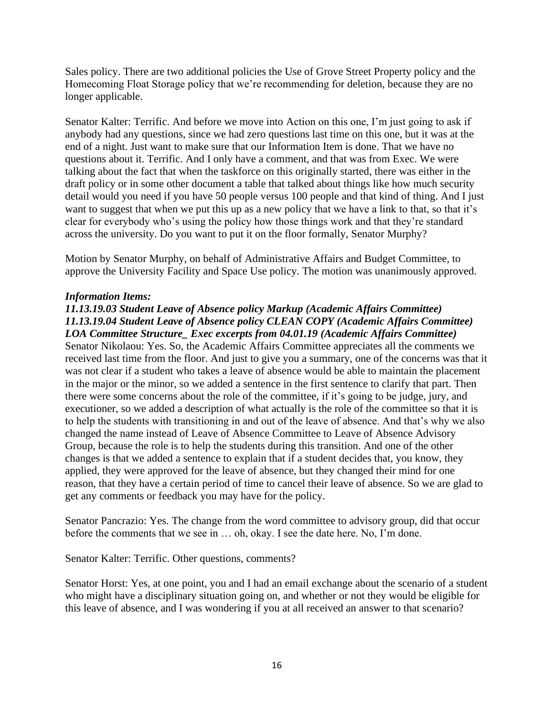Sales policy. There are two additional policies the Use of Grove Street Property policy and the Homecoming Float Storage policy that we're recommending for deletion, because they are no longer applicable.

Senator Kalter: Terrific. And before we move into Action on this one, I'm just going to ask if anybody had any questions, since we had zero questions last time on this one, but it was at the end of a night. Just want to make sure that our Information Item is done. That we have no questions about it. Terrific. And I only have a comment, and that was from Exec. We were talking about the fact that when the taskforce on this originally started, there was either in the draft policy or in some other document a table that talked about things like how much security detail would you need if you have 50 people versus 100 people and that kind of thing. And I just want to suggest that when we put this up as a new policy that we have a link to that, so that it's clear for everybody who's using the policy how those things work and that they're standard across the university. Do you want to put it on the floor formally, Senator Murphy?

Motion by Senator Murphy, on behalf of Administrative Affairs and Budget Committee, to approve the University Facility and Space Use policy. The motion was unanimously approved.

# *Information Items:*

# *11.13.19.03 Student Leave of Absence policy Markup (Academic Affairs Committee) 11.13.19.04 Student Leave of Absence policy CLEAN COPY (Academic Affairs Committee) LOA Committee Structure\_ Exec excerpts from 04.01.19 (Academic Affairs Committee)*

Senator Nikolaou: Yes. So, the Academic Affairs Committee appreciates all the comments we received last time from the floor. And just to give you a summary, one of the concerns was that it was not clear if a student who takes a leave of absence would be able to maintain the placement in the major or the minor, so we added a sentence in the first sentence to clarify that part. Then there were some concerns about the role of the committee, if it's going to be judge, jury, and executioner, so we added a description of what actually is the role of the committee so that it is to help the students with transitioning in and out of the leave of absence. And that's why we also changed the name instead of Leave of Absence Committee to Leave of Absence Advisory Group, because the role is to help the students during this transition. And one of the other changes is that we added a sentence to explain that if a student decides that, you know, they applied, they were approved for the leave of absence, but they changed their mind for one reason, that they have a certain period of time to cancel their leave of absence. So we are glad to get any comments or feedback you may have for the policy.

Senator Pancrazio: Yes. The change from the word committee to advisory group, did that occur before the comments that we see in … oh, okay. I see the date here. No, I'm done.

Senator Kalter: Terrific. Other questions, comments?

Senator Horst: Yes, at one point, you and I had an email exchange about the scenario of a student who might have a disciplinary situation going on, and whether or not they would be eligible for this leave of absence, and I was wondering if you at all received an answer to that scenario?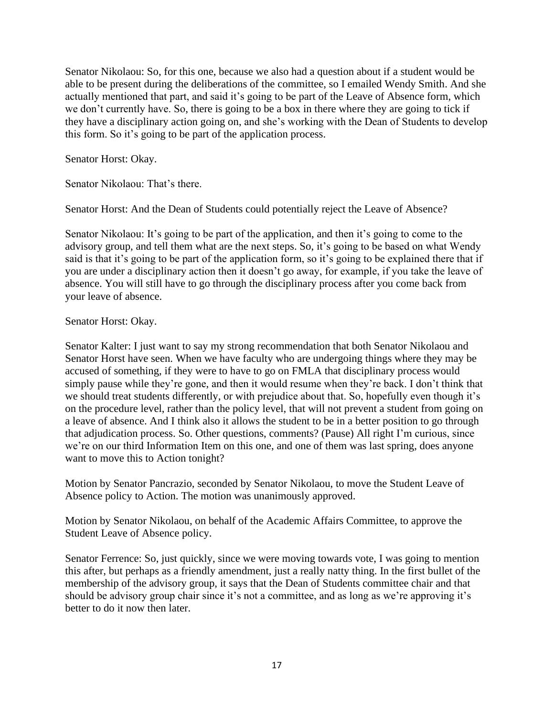Senator Nikolaou: So, for this one, because we also had a question about if a student would be able to be present during the deliberations of the committee, so I emailed Wendy Smith. And she actually mentioned that part, and said it's going to be part of the Leave of Absence form, which we don't currently have. So, there is going to be a box in there where they are going to tick if they have a disciplinary action going on, and she's working with the Dean of Students to develop this form. So it's going to be part of the application process.

Senator Horst: Okay.

Senator Nikolaou: That's there.

Senator Horst: And the Dean of Students could potentially reject the Leave of Absence?

Senator Nikolaou: It's going to be part of the application, and then it's going to come to the advisory group, and tell them what are the next steps. So, it's going to be based on what Wendy said is that it's going to be part of the application form, so it's going to be explained there that if you are under a disciplinary action then it doesn't go away, for example, if you take the leave of absence. You will still have to go through the disciplinary process after you come back from your leave of absence.

## Senator Horst: Okay.

Senator Kalter: I just want to say my strong recommendation that both Senator Nikolaou and Senator Horst have seen. When we have faculty who are undergoing things where they may be accused of something, if they were to have to go on FMLA that disciplinary process would simply pause while they're gone, and then it would resume when they're back. I don't think that we should treat students differently, or with prejudice about that. So, hopefully even though it's on the procedure level, rather than the policy level, that will not prevent a student from going on a leave of absence. And I think also it allows the student to be in a better position to go through that adjudication process. So. Other questions, comments? (Pause) All right I'm curious, since we're on our third Information Item on this one, and one of them was last spring, does anyone want to move this to Action tonight?

Motion by Senator Pancrazio, seconded by Senator Nikolaou, to move the Student Leave of Absence policy to Action. The motion was unanimously approved.

Motion by Senator Nikolaou, on behalf of the Academic Affairs Committee, to approve the Student Leave of Absence policy.

Senator Ferrence: So, just quickly, since we were moving towards vote, I was going to mention this after, but perhaps as a friendly amendment, just a really natty thing. In the first bullet of the membership of the advisory group, it says that the Dean of Students committee chair and that should be advisory group chair since it's not a committee, and as long as we're approving it's better to do it now then later.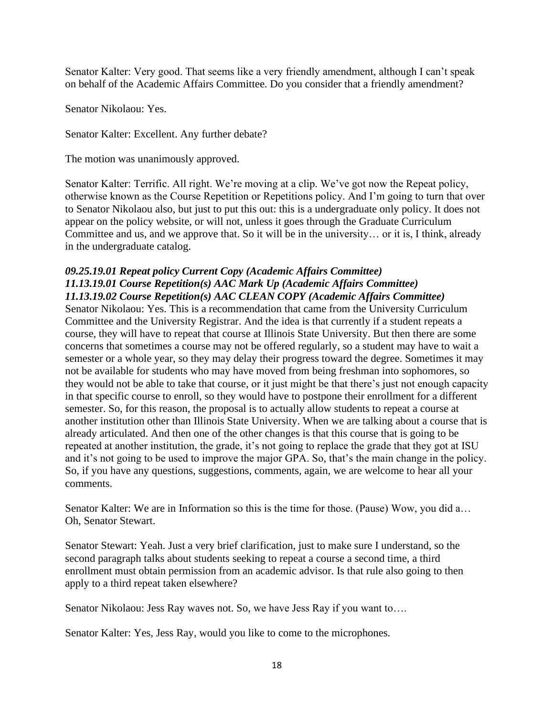Senator Kalter: Very good. That seems like a very friendly amendment, although I can't speak on behalf of the Academic Affairs Committee. Do you consider that a friendly amendment?

Senator Nikolaou: Yes.

Senator Kalter: Excellent. Any further debate?

The motion was unanimously approved.

Senator Kalter: Terrific. All right. We're moving at a clip. We've got now the Repeat policy, otherwise known as the Course Repetition or Repetitions policy. And I'm going to turn that over to Senator Nikolaou also, but just to put this out: this is a undergraduate only policy. It does not appear on the policy website, or will not, unless it goes through the Graduate Curriculum Committee and us, and we approve that. So it will be in the university… or it is, I think, already in the undergraduate catalog.

# *09.25.19.01 Repeat policy Current Copy (Academic Affairs Committee) 11.13.19.01 Course Repetition(s) AAC Mark Up (Academic Affairs Committee) 11.13.19.02 Course Repetition(s) AAC CLEAN COPY (Academic Affairs Committee)*

Senator Nikolaou: Yes. This is a recommendation that came from the University Curriculum Committee and the University Registrar. And the idea is that currently if a student repeats a course, they will have to repeat that course at Illinois State University. But then there are some concerns that sometimes a course may not be offered regularly, so a student may have to wait a semester or a whole year, so they may delay their progress toward the degree. Sometimes it may not be available for students who may have moved from being freshman into sophomores, so they would not be able to take that course, or it just might be that there's just not enough capacity in that specific course to enroll, so they would have to postpone their enrollment for a different semester. So, for this reason, the proposal is to actually allow students to repeat a course at another institution other than Illinois State University. When we are talking about a course that is already articulated. And then one of the other changes is that this course that is going to be repeated at another institution, the grade, it's not going to replace the grade that they got at ISU and it's not going to be used to improve the major GPA. So, that's the main change in the policy. So, if you have any questions, suggestions, comments, again, we are welcome to hear all your comments.

Senator Kalter: We are in Information so this is the time for those. (Pause) Wow, you did a… Oh, Senator Stewart.

Senator Stewart: Yeah. Just a very brief clarification, just to make sure I understand, so the second paragraph talks about students seeking to repeat a course a second time, a third enrollment must obtain permission from an academic advisor. Is that rule also going to then apply to a third repeat taken elsewhere?

Senator Nikolaou: Jess Ray waves not. So, we have Jess Ray if you want to….

Senator Kalter: Yes, Jess Ray, would you like to come to the microphones.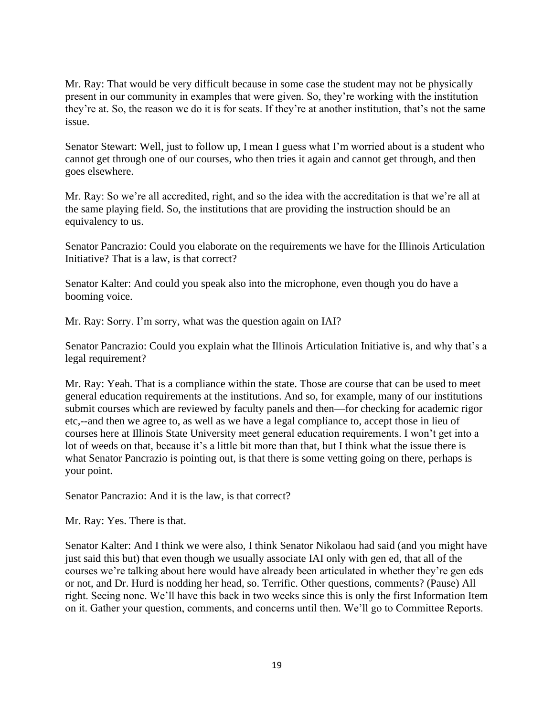Mr. Ray: That would be very difficult because in some case the student may not be physically present in our community in examples that were given. So, they're working with the institution they're at. So, the reason we do it is for seats. If they're at another institution, that's not the same issue.

Senator Stewart: Well, just to follow up, I mean I guess what I'm worried about is a student who cannot get through one of our courses, who then tries it again and cannot get through, and then goes elsewhere.

Mr. Ray: So we're all accredited, right, and so the idea with the accreditation is that we're all at the same playing field. So, the institutions that are providing the instruction should be an equivalency to us.

Senator Pancrazio: Could you elaborate on the requirements we have for the Illinois Articulation Initiative? That is a law, is that correct?

Senator Kalter: And could you speak also into the microphone, even though you do have a booming voice.

Mr. Ray: Sorry. I'm sorry, what was the question again on IAI?

Senator Pancrazio: Could you explain what the Illinois Articulation Initiative is, and why that's a legal requirement?

Mr. Ray: Yeah. That is a compliance within the state. Those are course that can be used to meet general education requirements at the institutions. And so, for example, many of our institutions submit courses which are reviewed by faculty panels and then—for checking for academic rigor etc,--and then we agree to, as well as we have a legal compliance to, accept those in lieu of courses here at Illinois State University meet general education requirements. I won't get into a lot of weeds on that, because it's a little bit more than that, but I think what the issue there is what Senator Pancrazio is pointing out, is that there is some vetting going on there, perhaps is your point.

Senator Pancrazio: And it is the law, is that correct?

Mr. Ray: Yes. There is that.

Senator Kalter: And I think we were also, I think Senator Nikolaou had said (and you might have just said this but) that even though we usually associate IAI only with gen ed, that all of the courses we're talking about here would have already been articulated in whether they're gen eds or not, and Dr. Hurd is nodding her head, so. Terrific. Other questions, comments? (Pause) All right. Seeing none. We'll have this back in two weeks since this is only the first Information Item on it. Gather your question, comments, and concerns until then. We'll go to Committee Reports.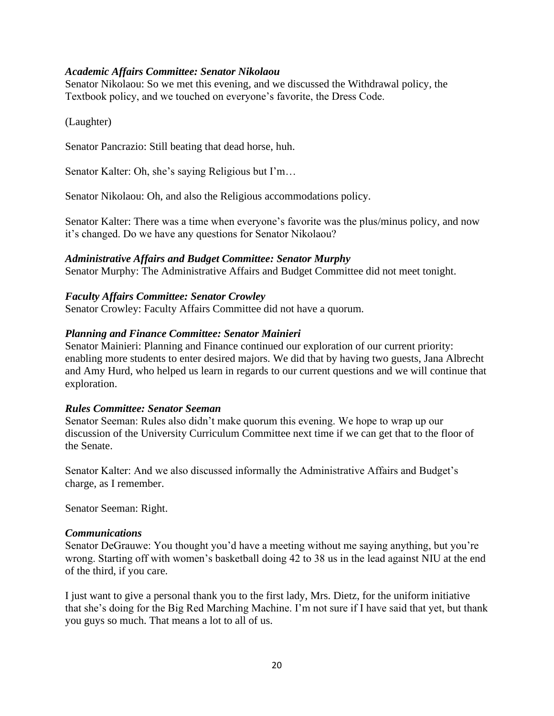## *Academic Affairs Committee: Senator Nikolaou*

Senator Nikolaou: So we met this evening, and we discussed the Withdrawal policy, the Textbook policy, and we touched on everyone's favorite, the Dress Code.

(Laughter)

Senator Pancrazio: Still beating that dead horse, huh.

Senator Kalter: Oh, she's saying Religious but I'm…

Senator Nikolaou: Oh, and also the Religious accommodations policy.

Senator Kalter: There was a time when everyone's favorite was the plus/minus policy, and now it's changed. Do we have any questions for Senator Nikolaou?

*Administrative Affairs and Budget Committee: Senator Murphy*

Senator Murphy: The Administrative Affairs and Budget Committee did not meet tonight.

*Faculty Affairs Committee: Senator Crowley*

Senator Crowley: Faculty Affairs Committee did not have a quorum.

### *Planning and Finance Committee: Senator Mainieri*

Senator Mainieri: Planning and Finance continued our exploration of our current priority: enabling more students to enter desired majors. We did that by having two guests, Jana Albrecht and Amy Hurd, who helped us learn in regards to our current questions and we will continue that exploration.

#### *Rules Committee: Senator Seeman*

Senator Seeman: Rules also didn't make quorum this evening. We hope to wrap up our discussion of the University Curriculum Committee next time if we can get that to the floor of the Senate.

Senator Kalter: And we also discussed informally the Administrative Affairs and Budget's charge, as I remember.

Senator Seeman: Right.

#### *Communications*

Senator DeGrauwe: You thought you'd have a meeting without me saying anything, but you're wrong. Starting off with women's basketball doing 42 to 38 us in the lead against NIU at the end of the third, if you care.

I just want to give a personal thank you to the first lady, Mrs. Dietz, for the uniform initiative that she's doing for the Big Red Marching Machine. I'm not sure if I have said that yet, but thank you guys so much. That means a lot to all of us.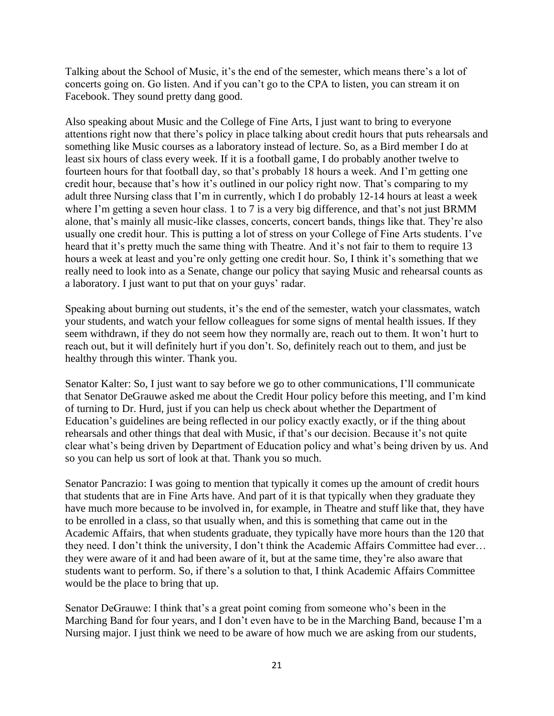Talking about the School of Music, it's the end of the semester, which means there's a lot of concerts going on. Go listen. And if you can't go to the CPA to listen, you can stream it on Facebook. They sound pretty dang good.

Also speaking about Music and the College of Fine Arts, I just want to bring to everyone attentions right now that there's policy in place talking about credit hours that puts rehearsals and something like Music courses as a laboratory instead of lecture. So, as a Bird member I do at least six hours of class every week. If it is a football game, I do probably another twelve to fourteen hours for that football day, so that's probably 18 hours a week. And I'm getting one credit hour, because that's how it's outlined in our policy right now. That's comparing to my adult three Nursing class that I'm in currently, which I do probably 12-14 hours at least a week where I'm getting a seven hour class. 1 to 7 is a very big difference, and that's not just BRMM alone, that's mainly all music-like classes, concerts, concert bands, things like that. They're also usually one credit hour. This is putting a lot of stress on your College of Fine Arts students. I've heard that it's pretty much the same thing with Theatre. And it's not fair to them to require 13 hours a week at least and you're only getting one credit hour. So, I think it's something that we really need to look into as a Senate, change our policy that saying Music and rehearsal counts as a laboratory. I just want to put that on your guys' radar.

Speaking about burning out students, it's the end of the semester, watch your classmates, watch your students, and watch your fellow colleagues for some signs of mental health issues. If they seem withdrawn, if they do not seem how they normally are, reach out to them. It won't hurt to reach out, but it will definitely hurt if you don't. So, definitely reach out to them, and just be healthy through this winter. Thank you.

Senator Kalter: So, I just want to say before we go to other communications, I'll communicate that Senator DeGrauwe asked me about the Credit Hour policy before this meeting, and I'm kind of turning to Dr. Hurd, just if you can help us check about whether the Department of Education's guidelines are being reflected in our policy exactly exactly, or if the thing about rehearsals and other things that deal with Music, if that's our decision. Because it's not quite clear what's being driven by Department of Education policy and what's being driven by us. And so you can help us sort of look at that. Thank you so much.

Senator Pancrazio: I was going to mention that typically it comes up the amount of credit hours that students that are in Fine Arts have. And part of it is that typically when they graduate they have much more because to be involved in, for example, in Theatre and stuff like that, they have to be enrolled in a class, so that usually when, and this is something that came out in the Academic Affairs, that when students graduate, they typically have more hours than the 120 that they need. I don't think the university, I don't think the Academic Affairs Committee had ever… they were aware of it and had been aware of it, but at the same time, they're also aware that students want to perform. So, if there's a solution to that, I think Academic Affairs Committee would be the place to bring that up.

Senator DeGrauwe: I think that's a great point coming from someone who's been in the Marching Band for four years, and I don't even have to be in the Marching Band, because I'm a Nursing major. I just think we need to be aware of how much we are asking from our students,